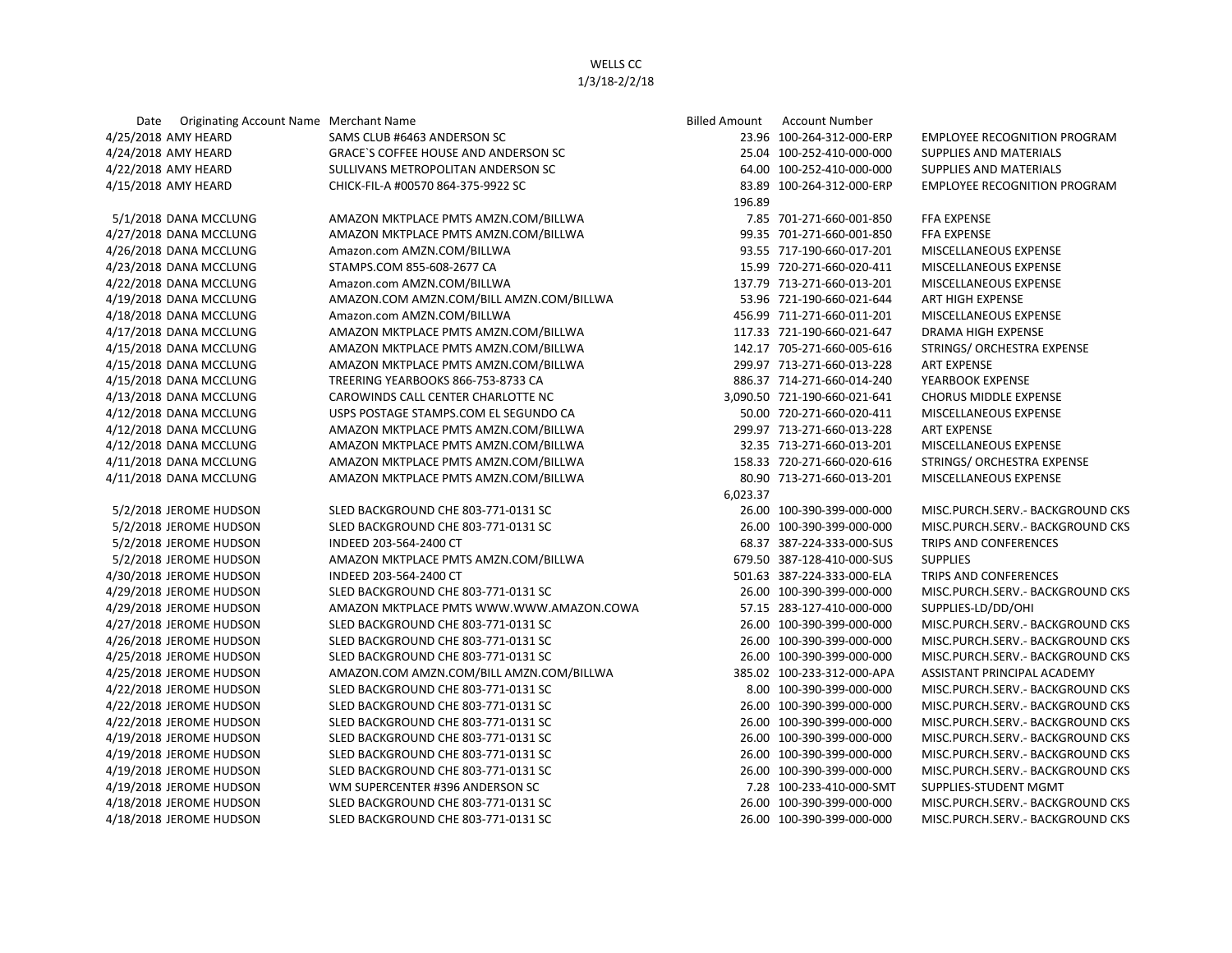## WELLS CC 1/3/18-2/2/18

| Date Originating Account Name Merchant Name |                                          | <b>Billed Amount</b> | <b>Account Number</b>        |                                     |
|---------------------------------------------|------------------------------------------|----------------------|------------------------------|-------------------------------------|
| 4/25/2018 AMY HEARD                         | SAMS CLUB #6463 ANDERSON SC              |                      | 23.96 100-264-312-000-ERP    | <b>EMPLOYEE RECOGNITION PROGRAM</b> |
| 4/24/2018 AMY HEARD                         | GRACE'S COFFEE HOUSE AND ANDERSON SC     |                      | 25.04 100-252-410-000-000    | SUPPLIES AND MATERIALS              |
| 4/22/2018 AMY HEARD                         | SULLIVANS METROPOLITAN ANDERSON SC       |                      | 64.00 100-252-410-000-000    | SUPPLIES AND MATERIALS              |
| 4/15/2018 AMY HEARD                         | CHICK-FIL-A #00570 864-375-9922 SC       |                      | 83.89 100-264-312-000-ERP    | <b>EMPLOYEE RECOGNITION PROGRAM</b> |
|                                             |                                          | 196.89               |                              |                                     |
| 5/1/2018 DANA MCCLUNG                       | AMAZON MKTPLACE PMTS AMZN.COM/BILLWA     |                      | 7.85 701-271-660-001-850     | <b>FFA EXPENSE</b>                  |
| 4/27/2018 DANA MCCLUNG                      | AMAZON MKTPLACE PMTS AMZN.COM/BILLWA     |                      | 99.35 701-271-660-001-850    | <b>FFA EXPENSE</b>                  |
| 4/26/2018 DANA MCCLUNG                      | Amazon.com AMZN.COM/BILLWA               |                      | 93.55 717-190-660-017-201    | MISCELLANEOUS EXPENSE               |
| 4/23/2018 DANA MCCLUNG                      | STAMPS.COM 855-608-2677 CA               |                      | 15.99 720-271-660-020-411    | MISCELLANEOUS EXPENSE               |
| 4/22/2018 DANA MCCLUNG                      | Amazon.com AMZN.COM/BILLWA               |                      | 137.79 713-271-660-013-201   | MISCELLANEOUS EXPENSE               |
| 4/19/2018 DANA MCCLUNG                      | AMAZON.COM AMZN.COM/BILL AMZN.COM/BILLWA |                      | 53.96 721-190-660-021-644    | ART HIGH EXPENSE                    |
| 4/18/2018 DANA MCCLUNG                      | Amazon.com AMZN.COM/BILLWA               |                      | 456.99 711-271-660-011-201   | MISCELLANEOUS EXPENSE               |
| 4/17/2018 DANA MCCLUNG                      | AMAZON MKTPLACE PMTS AMZN.COM/BILLWA     |                      | 117.33 721-190-660-021-647   | <b>DRAMA HIGH EXPENSE</b>           |
| 4/15/2018 DANA MCCLUNG                      | AMAZON MKTPLACE PMTS AMZN.COM/BILLWA     |                      | 142.17 705-271-660-005-616   | STRINGS/ ORCHESTRA EXPENSE          |
| 4/15/2018 DANA MCCLUNG                      | AMAZON MKTPLACE PMTS AMZN.COM/BILLWA     |                      | 299.97 713-271-660-013-228   | <b>ART EXPENSE</b>                  |
| 4/15/2018 DANA MCCLUNG                      | TREERING YEARBOOKS 866-753-8733 CA       |                      | 886.37 714-271-660-014-240   | YEARBOOK EXPENSE                    |
| 4/13/2018 DANA MCCLUNG                      | CAROWINDS CALL CENTER CHARLOTTE NC       |                      | 3,090.50 721-190-660-021-641 | <b>CHORUS MIDDLE EXPENSE</b>        |
| 4/12/2018 DANA MCCLUNG                      | USPS POSTAGE STAMPS.COM EL SEGUNDO CA    |                      | 50.00 720-271-660-020-411    | MISCELLANEOUS EXPENSE               |
| 4/12/2018 DANA MCCLUNG                      | AMAZON MKTPLACE PMTS AMZN.COM/BILLWA     |                      | 299.97 713-271-660-013-228   | <b>ART EXPENSE</b>                  |
| 4/12/2018 DANA MCCLUNG                      | AMAZON MKTPLACE PMTS AMZN.COM/BILLWA     |                      | 32.35 713-271-660-013-201    | MISCELLANEOUS EXPENSE               |
| 4/11/2018 DANA MCCLUNG                      | AMAZON MKTPLACE PMTS AMZN.COM/BILLWA     |                      | 158.33 720-271-660-020-616   | STRINGS/ ORCHESTRA EXPENSE          |
| 4/11/2018 DANA MCCLUNG                      | AMAZON MKTPLACE PMTS AMZN.COM/BILLWA     |                      | 80.90 713-271-660-013-201    | MISCELLANEOUS EXPENSE               |
|                                             |                                          | 6,023.37             |                              |                                     |
| 5/2/2018 JEROME HUDSON                      | SLED BACKGROUND CHE 803-771-0131 SC      |                      | 26.00 100-390-399-000-000    | MISC.PURCH.SERV. - BACKGROUND CKS   |
| 5/2/2018 JEROME HUDSON                      | SLED BACKGROUND CHE 803-771-0131 SC      |                      | 26.00 100-390-399-000-000    | MISC.PURCH.SERV.- BACKGROUND CKS    |
| 5/2/2018 JEROME HUDSON                      | INDEED 203-564-2400 CT                   |                      | 68.37 387-224-333-000-SUS    | TRIPS AND CONFERENCES               |
| 5/2/2018 JEROME HUDSON                      | AMAZON MKTPLACE PMTS AMZN.COM/BILLWA     |                      | 679.50 387-128-410-000-SUS   | <b>SUPPLIES</b>                     |
| 4/30/2018 JEROME HUDSON                     | INDEED 203-564-2400 CT                   |                      | 501.63 387-224-333-000-ELA   | TRIPS AND CONFERENCES               |
| 4/29/2018 JEROME HUDSON                     | SLED BACKGROUND CHE 803-771-0131 SC      |                      | 26.00 100-390-399-000-000    | MISC.PURCH.SERV.- BACKGROUND CKS    |
| 4/29/2018 JEROME HUDSON                     | AMAZON MKTPLACE PMTS WWW.WWW.AMAZON.COWA |                      | 57.15 283-127-410-000-000    | SUPPLIES-LD/DD/OHI                  |
| 4/27/2018 JEROME HUDSON                     | SLED BACKGROUND CHE 803-771-0131 SC      |                      | 26.00 100-390-399-000-000    | MISC.PURCH.SERV. - BACKGROUND CKS   |
| 4/26/2018 JEROME HUDSON                     | SLED BACKGROUND CHE 803-771-0131 SC      |                      | 26.00 100-390-399-000-000    | MISC.PURCH.SERV.- BACKGROUND CKS    |
| 4/25/2018 JEROME HUDSON                     | SLED BACKGROUND CHE 803-771-0131 SC      |                      | 26.00 100-390-399-000-000    | MISC.PURCH.SERV.- BACKGROUND CKS    |
| 4/25/2018 JEROME HUDSON                     | AMAZON.COM AMZN.COM/BILL AMZN.COM/BILLWA |                      | 385.02 100-233-312-000-APA   | ASSISTANT PRINCIPAL ACADEMY         |
| 4/22/2018 JEROME HUDSON                     | SLED BACKGROUND CHE 803-771-0131 SC      |                      | 8.00 100-390-399-000-000     | MISC.PURCH.SERV.- BACKGROUND CKS    |
| 4/22/2018 JEROME HUDSON                     | SLED BACKGROUND CHE 803-771-0131 SC      |                      | 26.00 100-390-399-000-000    | MISC.PURCH.SERV.- BACKGROUND CKS    |
| 4/22/2018 JEROME HUDSON                     | SLED BACKGROUND CHE 803-771-0131 SC      |                      | 26.00 100-390-399-000-000    | MISC.PURCH.SERV.- BACKGROUND CKS    |
| 4/19/2018 JEROME HUDSON                     | SLED BACKGROUND CHE 803-771-0131 SC      |                      | 26.00 100-390-399-000-000    | MISC.PURCH.SERV.- BACKGROUND CKS    |
| 4/19/2018 JEROME HUDSON                     | SLED BACKGROUND CHE 803-771-0131 SC      |                      | 26.00 100-390-399-000-000    | MISC.PURCH.SERV.- BACKGROUND CKS    |
| 4/19/2018 JEROME HUDSON                     | SLED BACKGROUND CHE 803-771-0131 SC      |                      | 26.00 100-390-399-000-000    | MISC.PURCH.SERV.- BACKGROUND CKS    |
| 4/19/2018 JEROME HUDSON                     | WM SUPERCENTER #396 ANDERSON SC          |                      | 7.28 100-233-410-000-SMT     | SUPPLIES-STUDENT MGMT               |
| 4/18/2018 JEROME HUDSON                     | SLED BACKGROUND CHE 803-771-0131 SC      |                      | 26.00 100-390-399-000-000    | MISC.PURCH.SERV. - BACKGROUND CKS   |
| 4/18/2018 JEROME HUDSON                     | SLED BACKGROUND CHE 803-771-0131 SC      |                      | 26.00 100-390-399-000-000    | MISC.PURCH.SERV.- BACKGROUND CKS    |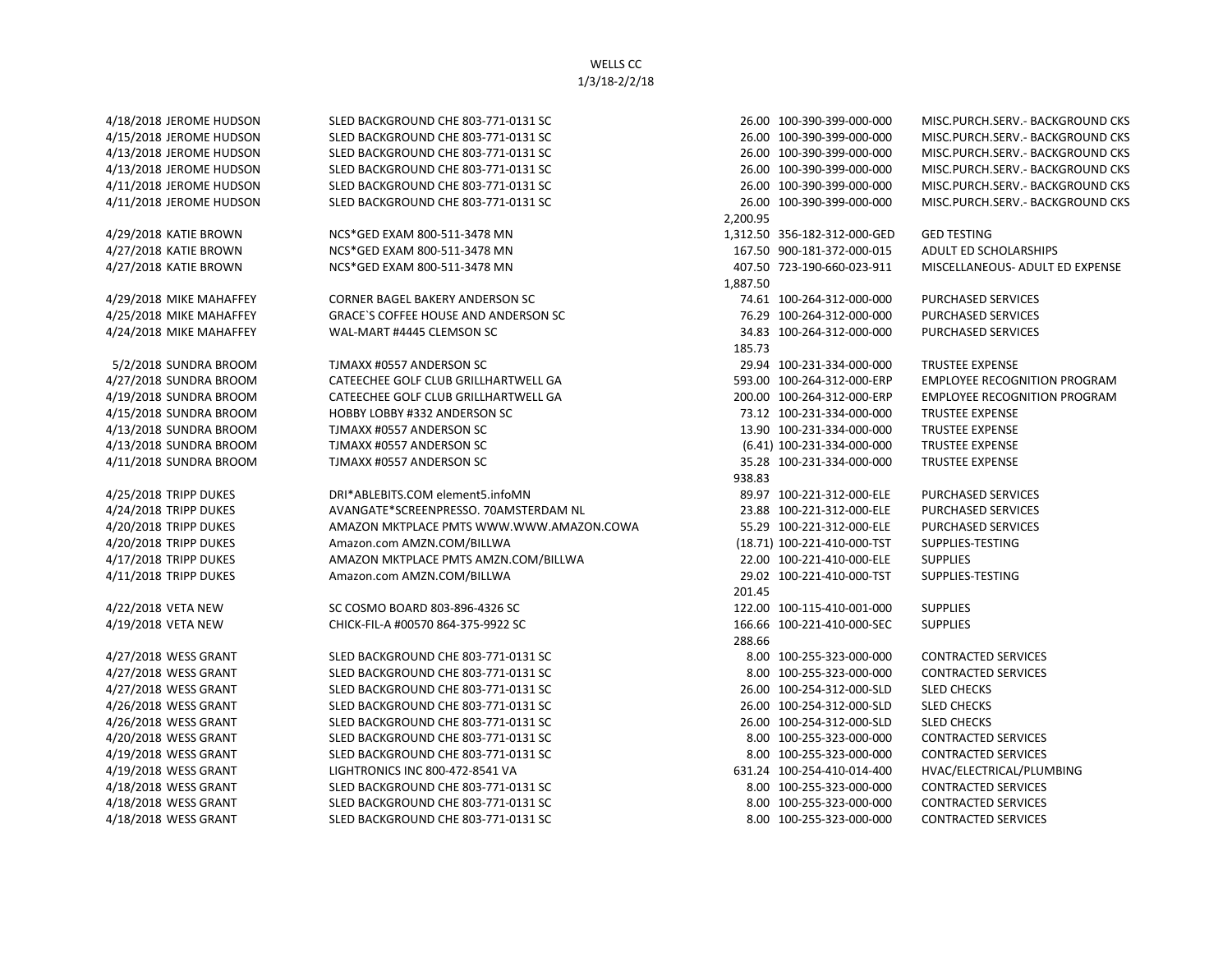WELLS CC 1/3/18-2/2/18

4/18/2018 JEROME HUDSON SLED BACKGROUND CHE 803-771-0131 SC 26.00 100-390-399-000-000 MISC.PURCH.SERV.- BACKGROUND CKS 4/15/2018 JEROME HUDSON SLED BACKGROUND CHE 803-771-0131 SC 26.00 100-390-399-000-000 MISC.PURCH.SERV.- BACKGROUND CKS 4/13/2018 JEROME HUDSON SLED BACKGROUND CHE 803-771-0131 SC 26.00 100-390-399-000-000 MISC.PURCH.SERV.- BACKGROUND CKS 4/13/2018 JEROME HUDSON SLED BACKGROUND CHE 803-771-0131 SC 26.00 100-390-399-000-000 MISC.PURCH.SERV.- BACKGROUND CKS 4/11/2018 JEROME HUDSON SLED BACKGROUND CHE 803-771-0131 SC 26.00 100-390-399-000-000 MISC.PURCH.SERV.- BACKGROUND CKS 4/11/2018 JEROME HUDSON SLED BACKGROUND CHE 803-771-0131 SC 26.00 100-390-399-000-000 MISC.PURCH.SERV.- BACKGROUND CKS 2,200.95 4/29/2018 KATIE BROWN NCS\*GED EXAM 800-511-3478 MN 1,312.50 356-182-312-000-GED GED TESTING 4/27/2018 KATIE BROWN NCS\*GED EXAM 800-511-3478 MN 167.50 900-181-372-000-015 ADULT ED SCHOLARSHIPS 4/27/2018 KATIE BROWN NCS\*GED EXAM 800-511-3478 MN 407.50 723-190-660-023-911 MISCELLANEOUS- ADULT ED EXPENSE 1,887.50 4/29/2018 MIKE MAHAFFEY CORNER BAGEL BAKERY ANDERSON SC 74.61 100-264-312-000-000 PURCHASED SERVICES 4/25/2018 MIKE MAHAFFEY GRACE`S COFFEE HOUSE AND ANDERSON SC 76.29 100-264-312-000-000 PURCHASED SERVICES 4/24/2018 MIKE MAHAFFEY WAL-MART #4445 CLEMSON SC 34.83 100-264-312-000-000 PURCHASED SERVICES 185.73 5/2/2018 SUNDRA BROOM TJMAXX #0557 ANDERSON SC 29.94 100-231-334-000-000 TRUSTEE EXPENSE 4/27/2018 SUNDRA BROOM CATEECHEE GOLF CLUB GRILLHARTWELL GA 593.00 100-264-312-000-ERP EMPLOYEE RECOGNITION PROGRAM 4/19/2018 SUNDRA BROOM CATEECHEE GOLF CLUB GRILLHARTWELL GA 200.00 100-264-312-000-ERP EMPLOYEE RECOGNITION PROGRAM 4/15/2018 SUNDRA BROOM HOBBY LOBBY #332 ANDERSON SC 73.12 100-231-334-000-000 TRUSTEE EXPENSE 4/13/2018 SUNDRA BROOM TJMAXX #0557 ANDERSON SC 13.90 100-231-334-000-000 TRUSTEE EXPENSE 4/13/2018 SUNDRA BROOM TJMAXX #0557 ANDERSON SC (6.41) 100-231-334-000-000 TRUSTEE EXPENSE 4/11/2018 SUNDRA BROOM TJMAXX #0557 ANDERSON SC 35.28 100-231-334-000-000 TRUSTEE EXPENSE 938.83 4/25/2018 TRIPP DUKES DRI\*ABLEBITS.COM element5.infoMN 89.97 100-221-312-000-ELE PURCHASED SERVICES 4/24/2018 TRIPP DUKES AVANGATE\*SCREENPRESSO. 70AMSTERDAM NL 23.88 100-221-312-000-ELE PURCHASED SERVICES 4/20/2018 TRIPP DUKES AMAZON MKTPLACE PMTS WWW.WWW.AMAZON.COWA 55.29 100-221-312-000-ELE PURCHASED SERVICES 4/20/2018 TRIPP DUKES Amazon.com AMZN.COM/BILLWA (18.71) 100-221-410-000-TST SUPPLIES-TESTING 4/17/2018 TRIPP DUKES AMAZON MKTPLACE PMTS AMZN.COM/BILLWA 22.00 100-221-410-000-ELE SUPPLIES 4/11/2018 TRIPP DUKES Amazon.com AMZN.COM/BILLWA 29.02 100-221-410-000-TST SUPPLIES-TESTING 201.45 4/22/2018 VETA NEW SC COSMO BOARD 803-896-4326 SC 122.00 100-115-410-001-000 SUPPLIES 4/19/2018 VETA NEW CHICK-FIL-A #00570 864-375-9922 SC 166.66 100-221-410-000-SEC SUPPLIES 288.66 4/27/2018 WESS GRANT SLED BACKGROUND CHE 803-771-0131 SC 8.00 100-255-323-000-000 CONTRACTED SERVICES 4/27/2018 WESS GRANT SLED BACKGROUND CHE 803-771-0131 SC 8.00 100-255-323-000-000 CONTRACTED SERVICES 4/27/2018 WESS GRANT SLED BACKGROUND CHE 803-771-0131 SC 26.00 100-254-312-000-SLD SLED CHECKS 4/26/2018 WESS GRANT SLED BACKGROUND CHE 803-771-0131 SC 26.00 100-254-312-000-SLD SLED CHECKS 4/26/2018 WESS GRANT SLED BACKGROUND CHE 803-771-0131 SC 26.00 100-254-312-000-SLD SLED CHECKS 4/20/2018 WESS GRANT SLED BACKGROUND CHE 803-771-0131 SC 8.00 100-255-323-000-000 CONTRACTED SERVICES 4/19/2018 WESS GRANT SLED BACKGROUND CHE 803-771-0131 SC 8.00 100-255-323-000-000 CONTRACTED SERVICES 4/19/2018 WESS GRANT LIGHTRONICS INC 800-472-8541 VA 631.24 100-254-410-014-400 HVAC/ELECTRICAL/PLUMBING 4/18/2018 WESS GRANT SLED BACKGROUND CHE 803-771-0131 SC 8.00 100-255-323-000-000 CONTRACTED SERVICES 4/18/2018 WESS GRANT SLED BACKGROUND CHE 803-771-0131 SC 8.00 100-255-323-000-000 CONTRACTED SERVICES 4/18/2018 WESS GRANT SLED BACKGROUND CHE 803-771-0131 SC 8.00 100-255-323-000-000 CONTRACTED SERVICES